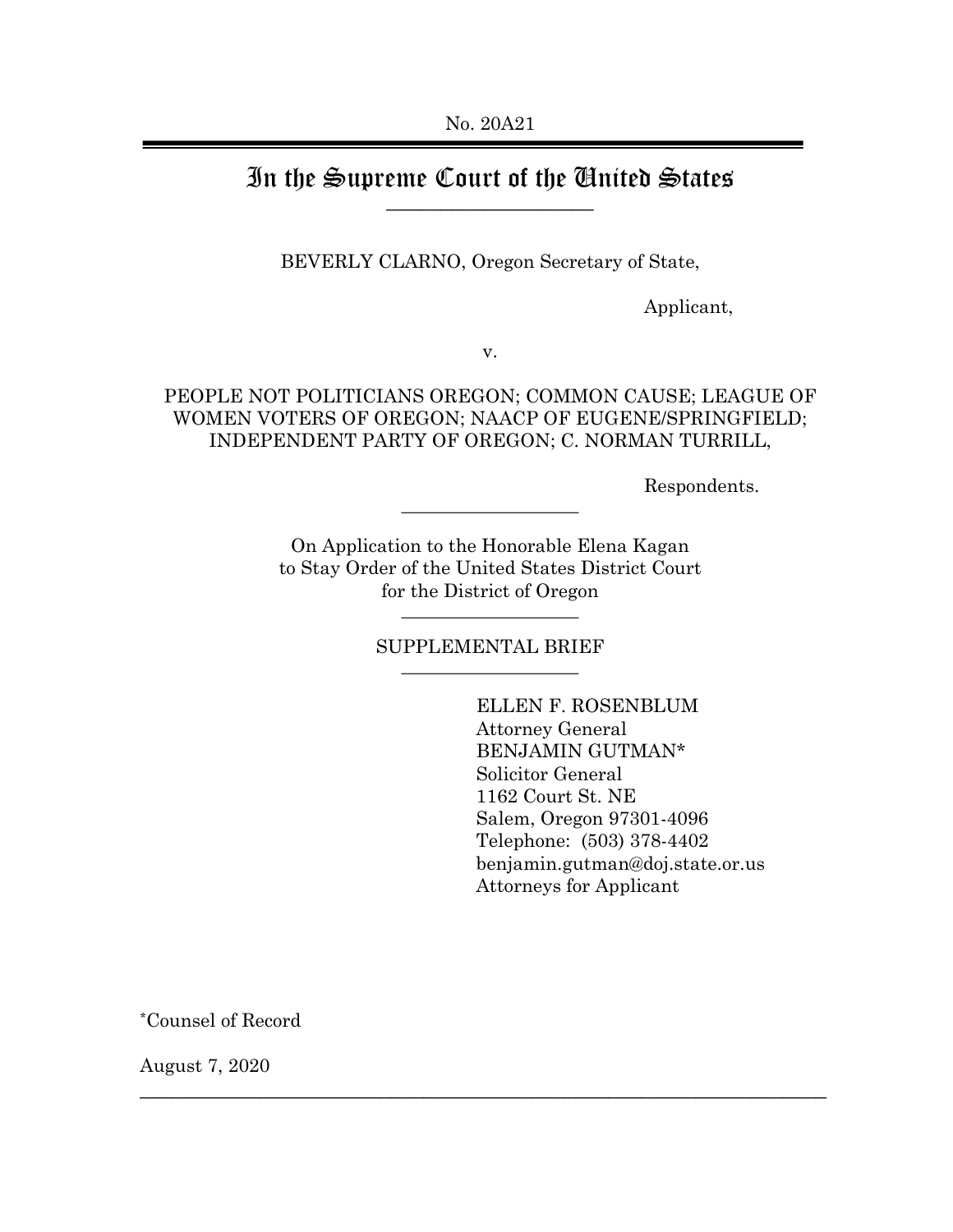## In the Supreme Court of the United States \_\_\_\_\_\_\_\_\_\_\_\_\_\_\_\_\_\_\_

BEVERLY CLARNO, Oregon Secretary of State,

Applicant,

v.

## PEOPLE NOT POLITICIANS OREGON; COMMON CAUSE; LEAGUE OF WOMEN VOTERS OF OREGON; NAACP OF EUGENE/SPRINGFIELD; INDEPENDENT PARTY OF OREGON; C. NORMAN TURRILL,

Respondents.

On Application to the Honorable Elena Kagan to Stay Order of the United States District Court for the District of Oregon \_\_\_\_\_\_\_\_\_\_\_\_\_\_\_\_\_\_\_

 $\_$   $\_$ 

SUPPLEMENTAL BRIEF  $\_$   $\_$ 

\_\_\_\_\_\_\_\_\_\_\_\_\_\_\_\_\_\_\_\_\_\_\_\_\_\_\_\_\_\_\_\_\_\_\_\_\_\_\_\_\_\_\_\_\_\_\_\_\_\_\_\_\_\_\_\_\_\_\_\_\_\_\_

ELLEN F. ROSENBLUM Attorney General BENJAMIN GUTMAN\* Solicitor General 1162 Court St. NE Salem, Oregon 97301-4096 Telephone: (503) 378-4402 benjamin.gutman@doj.state.or.us Attorneys for Applicant

\*Counsel of Record

August 7, 2020